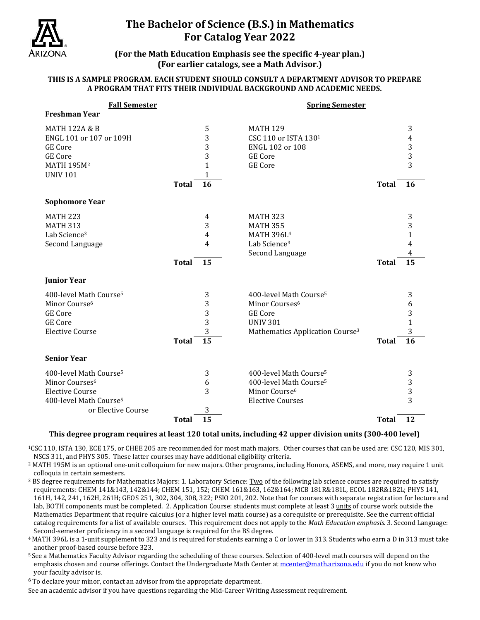

## **The Bachelor of Science (B.S.) in Mathematics For Catalog Year 2022**

**(For the Math Education Emphasis see the specific 4-year plan.) (For earlier catalogs, see a Math Advisor.)**

### **THIS IS A SAMPLE PROGRAM. EACH STUDENT SHOULD CONSULT A DEPARTMENT ADVISOR TO PREPARE A PROGRAM THAT FITS THEIR INDIVIDUAL BACKGROUND AND ACADEMIC NEEDS.**

| <b>Fall Semester</b>               |              |                 | <b>Spring Semester</b>                      |              |                |
|------------------------------------|--------------|-----------------|---------------------------------------------|--------------|----------------|
| <b>Freshman Year</b>               |              |                 |                                             |              |                |
| <b>MATH 122A &amp; B</b>           |              | 5               | <b>MATH 129</b>                             |              | 3              |
| ENGL 101 or 107 or 109H            |              | 3               | CSC 110 or ISTA 1301                        |              | $\overline{4}$ |
| <b>GE</b> Core                     |              | 3               | ENGL 102 or 108                             |              | 3              |
| <b>GE</b> Core                     |              | 3               | <b>GE</b> Core                              |              | 3              |
| MATH 195M <sup>2</sup>             |              | $\mathbf{1}$    | <b>GE Core</b>                              |              | 3              |
| <b>UNIV 101</b>                    |              | $\mathbf{1}$    |                                             |              |                |
|                                    | <b>Total</b> | 16              |                                             | <b>Total</b> | 16             |
| <b>Sophomore Year</b>              |              |                 |                                             |              |                |
| <b>MATH 223</b>                    |              | 4               | <b>MATH 323</b>                             |              | 3              |
| <b>MATH 313</b>                    |              | 3               | <b>MATH 355</b>                             |              | 3              |
| Lab Science <sup>3</sup>           |              | 4               | MATH 396L <sup>4</sup>                      |              | 1              |
| Second Language                    |              | 4               | Lab Science <sup>3</sup>                    |              | 4              |
|                                    |              |                 | Second Language                             |              | 4              |
|                                    | <b>Total</b> | 15              |                                             | <b>Total</b> | 15             |
| <b>Junior Year</b>                 |              |                 |                                             |              |                |
| 400-level Math Course <sup>5</sup> |              | 3               | 400-level Math Course <sup>5</sup>          |              | 3              |
| Minor Course <sup>6</sup>          |              | 3               | Minor Courses <sup>6</sup>                  |              | 6              |
| <b>GE</b> Core                     |              | 3               | <b>GE</b> Core                              |              | 3              |
| <b>GE</b> Core                     |              | 3               | <b>UNIV 301</b>                             |              | $\mathbf{1}$   |
| <b>Elective Course</b>             |              | 3               | Mathematics Application Course <sup>3</sup> |              | 3              |
|                                    | <b>Total</b> | $\overline{15}$ |                                             | <b>Total</b> | 16             |
| <b>Senior Year</b>                 |              |                 |                                             |              |                |
| 400-level Math Course <sup>5</sup> |              | 3               | 400-level Math Course <sup>5</sup>          |              | 3              |
| Minor Courses <sup>6</sup>         |              | 6               | 400-level Math Course <sup>5</sup>          |              | 3              |
| <b>Elective Course</b>             |              | 3               | Minor Course <sup>6</sup>                   |              | 3              |
| 400-level Math Course <sup>5</sup> |              |                 | <b>Elective Courses</b>                     |              | 3              |
| or Elective Course                 |              | 3               |                                             |              |                |
|                                    | <b>Total</b> | 15              |                                             | <b>Total</b> | 12             |

### **This degree program requires at least 120 total units, including 42 upper division units (300-400 level)**

1CSC 110, ISTA 130, ECE 175, or CHEE 205 are recommended for most math majors. Other courses that can be used are: CSC 120, MIS 301, NSCS 311, and PHYS 305. These latter courses may have additional eligibility criteria.

<sup>2</sup> MATH 195M is an optional one-unit colloquium for new majors. Other programs, including Honors, ASEMS, and more, may require 1 unit colloquia in certain semesters.

<sup>3</sup> BS degree requirements for Mathematics Majors: 1. Laboratory Science: Two of the following lab science courses are required to satisfy requirements: CHEM 141&143, 142&144; CHEM 151, 152; CHEM 161&163, 162&164; MCB 181R&181L, ECOL 182R&182L; PHYS 141, 161H, 142, 241, 162H, 261H; GEOS 251, 302, 304, 308, 322; PSIO 201, 202. Note that for courses with separate registration for lecture and lab, BOTH components must be completed. 2. Application Course: students must complete at least 3 units of course work outside the Mathematics Department that require calculus (or a higher level math course) as a corequisite or prerequisite. See the current official catalog requirements for a list of available courses. This requirement does not apply to the *Math Education emphasis*. 3. Second Language: Second Second Canguage: Second Equation emphasis. 3. Second Language:

 $4$  MATH 396L is a 1-unit supplement to 323 and is required for students earning a C or lower in 313. Students who earn a D in 313 must take another proof-based course before 323.

5 See a Mathematics Faculty Advisor regarding the scheduling of these courses. Selection of 400-level math courses will depend on the emphasis chosen and course offerings. Contact the Undergraduate Math Center a[t mcenter@math.arizona.edu](mailto:mcenter@math.arizona.edu) if you do not know who your faculty advisor is.

<sup>6</sup> To declare your minor, contact an advisor from the appropriate department.

See an academic advisor if you have questions regarding the Mid-Career Writing Assessment requirement.